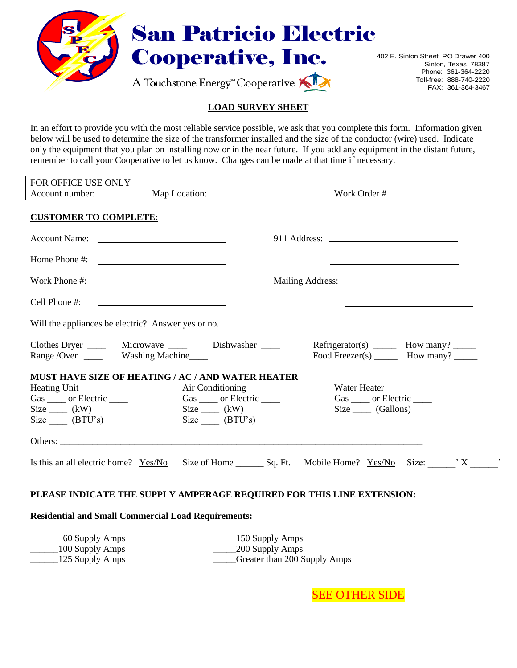

## San Patricio Electric

A Touchstone Energy<sup>\*</sup> Cooperative

Cooperative, Inc. 402 E. Sinton Street, PO Drawer 400 Sinton, Texas 78387 Phone: 361-364-2220 Toll-free: 888-740-2220 FAX: 361-364-3467

## **LOAD SURVEY SHEET**

In an effort to provide you with the most reliable service possible, we ask that you complete this form. Information given below will be used to determine the size of the transformer installed and the size of the conductor (wire) used. Indicate only the equipment that you plan on installing now or in the near future. If you add any equipment in the distant future, remember to call your Cooperative to let us know. Changes can be made at that time if necessary.

| FOR OFFICE USE ONLY<br>Account number:                                                                                                   | Map Location:                                                                                                        |                             | Work Order #                                                                     |  |
|------------------------------------------------------------------------------------------------------------------------------------------|----------------------------------------------------------------------------------------------------------------------|-----------------------------|----------------------------------------------------------------------------------|--|
|                                                                                                                                          |                                                                                                                      |                             |                                                                                  |  |
| <b>CUSTOMER TO COMPLETE:</b>                                                                                                             |                                                                                                                      |                             |                                                                                  |  |
|                                                                                                                                          |                                                                                                                      |                             |                                                                                  |  |
| Home Phone #: $\qquad \qquad$                                                                                                            |                                                                                                                      |                             |                                                                                  |  |
| Work Phone #:                                                                                                                            |                                                                                                                      |                             |                                                                                  |  |
| Cell Phone #:                                                                                                                            | <u> Alexandria de la contrada de la contrada de la contrada de la contrada de la contrada de la contrada de la c</u> |                             |                                                                                  |  |
| Will the appliances be electric? Answer yes or no.                                                                                       |                                                                                                                      |                             |                                                                                  |  |
| Clothes Dryer _______ Microwave ______ Dishwasher _____<br>Range / Oven _______ Washing Machine_____                                     |                                                                                                                      |                             | $Refrigerator(s)$ How many? _______<br>Food Freezer(s) ________ How many? ______ |  |
| MUST HAVE SIZE OF HEATING / AC / AND WATER HEATER<br><b>Heating Unit</b><br>Gas _____ or Electric _____<br>$Size$ (kW)<br>$Size$ (BTU's) | <b>Air Conditioning</b><br>$Size$ (kW)<br>$Size$ (BTU's)                                                             | Gas _____ or Electric _____ | Water Heater<br>Gas _____ or Electric _____<br>$Size$ (Gallons)                  |  |
|                                                                                                                                          |                                                                                                                      |                             |                                                                                  |  |
| Is this an all electric home? $Yes/No$ Size of Home $\_\_\_$ Sq. Ft. Mobile Home? $Yes/No$ Size: $'X$ ,                                  |                                                                                                                      |                             |                                                                                  |  |
| PLEASE INDICATE THE SUPPLY AMPERAGE REQUIRED FOR THIS LINE EXTENSION:                                                                    |                                                                                                                      |                             |                                                                                  |  |
| <b>Residential and Small Commercial Load Requirements:</b>                                                                               |                                                                                                                      |                             |                                                                                  |  |
| $60$ Supply $\Lambda$ mpc                                                                                                                | $150$ Supply $\Lambda$ mpc                                                                                           |                             |                                                                                  |  |

\_\_\_\_\_\_ 60 Supply Amps \_\_\_\_\_150 Supply Amps \_\_\_\_\_\_100 Supply Amps \_\_\_\_\_200 Supply Amps 125 Supply Amps \_\_\_\_\_\_\_\_\_\_\_\_\_\_\_\_\_\_\_\_Greater than 200 Supply Amps

SEE OTHER SIDE